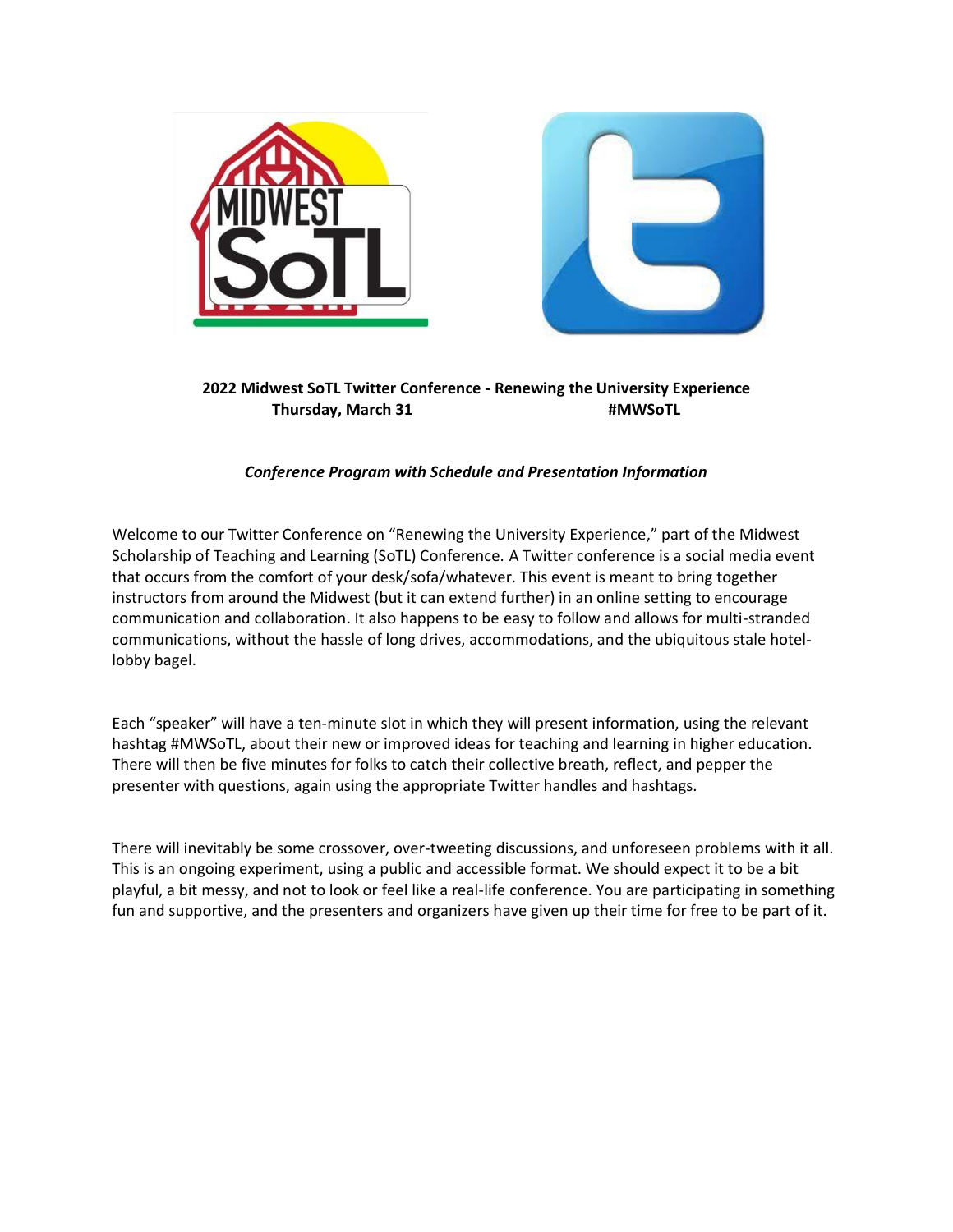



**2022 Midwest SoTL Twitter Conference - Renewing the University Experience Thursday, March 31 #MWSoTL**

## *Conference Program with Schedule and Presentation Information*

Welcome to our Twitter Conference on "Renewing the University Experience," part of the Midwest Scholarship of Teaching and Learning (SoTL) Conference. A Twitter conference is a social media event that occurs from the comfort of your desk/sofa/whatever. This event is meant to bring together instructors from around the Midwest (but it can extend further) in an online setting to encourage communication and collaboration. It also happens to be easy to follow and allows for multi-stranded communications, without the hassle of long drives, accommodations, and the ubiquitous stale hotellobby bagel.

Each "speaker" will have a ten-minute slot in which they will present information, using the relevant hashtag #MWSoTL, about their new or improved ideas for teaching and learning in higher education. There will then be five minutes for folks to catch their collective breath, reflect, and pepper the presenter with questions, again using the appropriate Twitter handles and hashtags.

There will inevitably be some crossover, over-tweeting discussions, and unforeseen problems with it all. This is an ongoing experiment, using a public and accessible format. We should expect it to be a bit playful, a bit messy, and not to look or feel like a real-life conference. You are participating in something fun and supportive, and the presenters and organizers have given up their time for free to be part of it.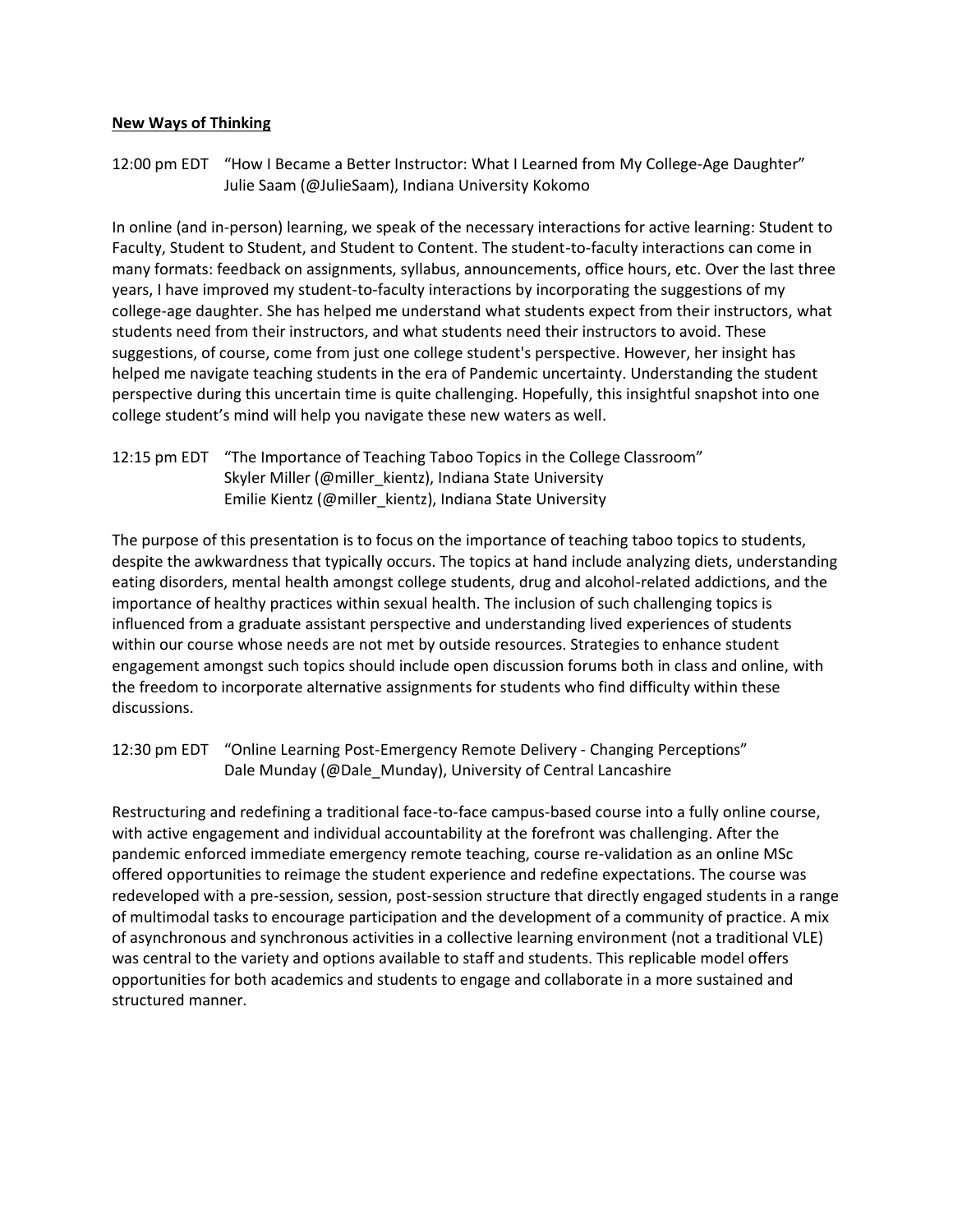### **New Ways of Thinking**

12:00 pm EDT "How I Became a Better Instructor: What I Learned from My College-Age Daughter" Julie Saam (@JulieSaam), Indiana University Kokomo

In online (and in-person) learning, we speak of the necessary interactions for active learning: Student to Faculty, Student to Student, and Student to Content. The student-to-faculty interactions can come in many formats: feedback on assignments, syllabus, announcements, office hours, etc. Over the last three years, I have improved my student-to-faculty interactions by incorporating the suggestions of my college-age daughter. She has helped me understand what students expect from their instructors, what students need from their instructors, and what students need their instructors to avoid. These suggestions, of course, come from just one college student's perspective. However, her insight has helped me navigate teaching students in the era of Pandemic uncertainty. Understanding the student perspective during this uncertain time is quite challenging. Hopefully, this insightful snapshot into one college student's mind will help you navigate these new waters as well.

12:15 pm EDT "The Importance of Teaching Taboo Topics in the College Classroom" Skyler Miller (@miller\_kientz), Indiana State University Emilie Kientz (@miller\_kientz), Indiana State University

The purpose of this presentation is to focus on the importance of teaching taboo topics to students, despite the awkwardness that typically occurs. The topics at hand include analyzing diets, understanding eating disorders, mental health amongst college students, drug and alcohol-related addictions, and the importance of healthy practices within sexual health. The inclusion of such challenging topics is influenced from a graduate assistant perspective and understanding lived experiences of students within our course whose needs are not met by outside resources. Strategies to enhance student engagement amongst such topics should include open discussion forums both in class and online, with the freedom to incorporate alternative assignments for students who find difficulty within these discussions.

12:30 pm EDT "Online Learning Post-Emergency Remote Delivery - Changing Perceptions" Dale Munday (@Dale\_Munday), University of Central Lancashire

Restructuring and redefining a traditional face-to-face campus-based course into a fully online course, with active engagement and individual accountability at the forefront was challenging. After the pandemic enforced immediate emergency remote teaching, course re-validation as an online MSc offered opportunities to reimage the student experience and redefine expectations. The course was redeveloped with a pre-session, session, post-session structure that directly engaged students in a range of multimodal tasks to encourage participation and the development of a community of practice. A mix of asynchronous and synchronous activities in a collective learning environment (not a traditional VLE) was central to the variety and options available to staff and students. This replicable model offers opportunities for both academics and students to engage and collaborate in a more sustained and structured manner.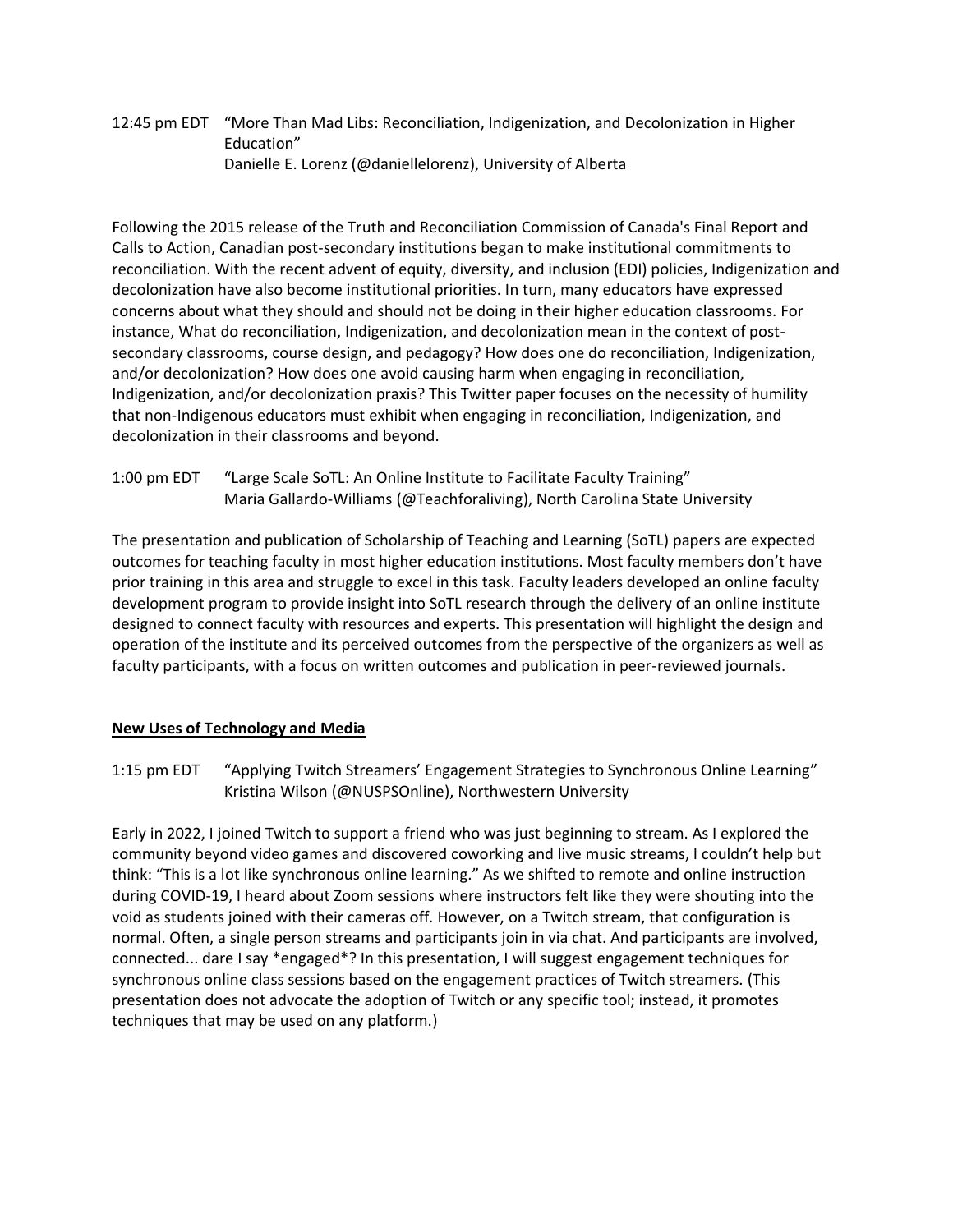## 12:45 pm EDT "More Than Mad Libs: Reconciliation, Indigenization, and Decolonization in Higher Education" Danielle E. Lorenz (@daniellelorenz), University of Alberta

Following the 2015 release of the Truth and Reconciliation Commission of Canada's Final Report and Calls to Action, Canadian post-secondary institutions began to make institutional commitments to reconciliation. With the recent advent of equity, diversity, and inclusion (EDI) policies, Indigenization and decolonization have also become institutional priorities. In turn, many educators have expressed concerns about what they should and should not be doing in their higher education classrooms. For instance, What do reconciliation, Indigenization, and decolonization mean in the context of postsecondary classrooms, course design, and pedagogy? How does one do reconciliation, Indigenization, and/or decolonization? How does one avoid causing harm when engaging in reconciliation, Indigenization, and/or decolonization praxis? This Twitter paper focuses on the necessity of humility that non-Indigenous educators must exhibit when engaging in reconciliation, Indigenization, and decolonization in their classrooms and beyond.

1:00 pm EDT "Large Scale SoTL: An Online Institute to Facilitate Faculty Training" Maria Gallardo-Williams (@Teachforaliving), North Carolina State University

The presentation and publication of Scholarship of Teaching and Learning (SoTL) papers are expected outcomes for teaching faculty in most higher education institutions. Most faculty members don't have prior training in this area and struggle to excel in this task. Faculty leaders developed an online faculty development program to provide insight into SoTL research through the delivery of an online institute designed to connect faculty with resources and experts. This presentation will highlight the design and operation of the institute and its perceived outcomes from the perspective of the organizers as well as faculty participants, with a focus on written outcomes and publication in peer-reviewed journals.

# **New Uses of Technology and Media**

1:15 pm EDT "Applying Twitch Streamers' Engagement Strategies to Synchronous Online Learning" Kristina Wilson (@NUSPSOnline), Northwestern University

Early in 2022, I joined Twitch to support a friend who was just beginning to stream. As I explored the community beyond video games and discovered coworking and live music streams, I couldn't help but think: "This is a lot like synchronous online learning." As we shifted to remote and online instruction during COVID-19, I heard about Zoom sessions where instructors felt like they were shouting into the void as students joined with their cameras off. However, on a Twitch stream, that configuration is normal. Often, a single person streams and participants join in via chat. And participants are involved, connected... dare I say \*engaged\*? In this presentation, I will suggest engagement techniques for synchronous online class sessions based on the engagement practices of Twitch streamers. (This presentation does not advocate the adoption of Twitch or any specific tool; instead, it promotes techniques that may be used on any platform.)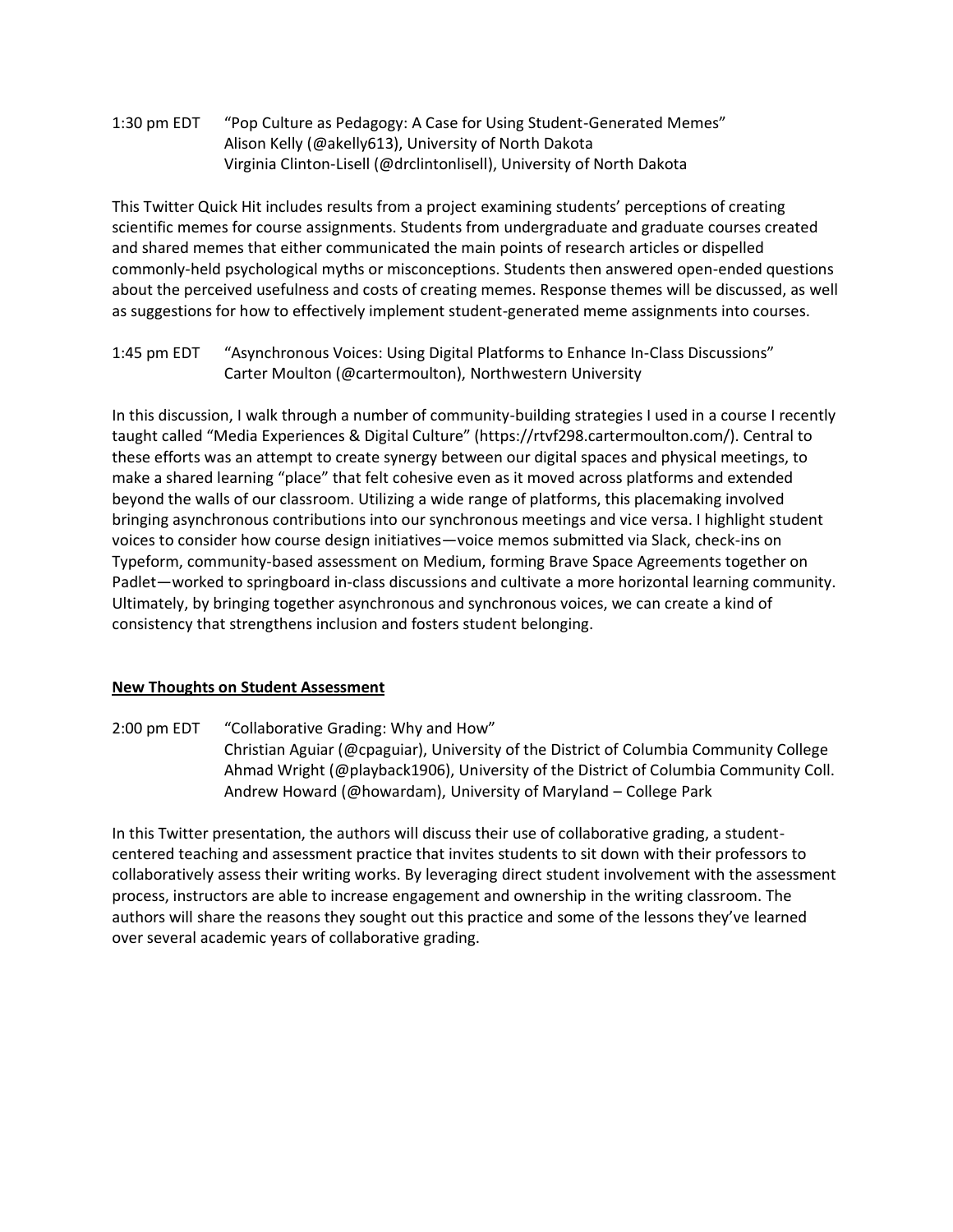1:30 pm EDT "Pop Culture as Pedagogy: A Case for Using Student-Generated Memes" Alison Kelly (@akelly613), University of North Dakota Virginia Clinton-Lisell (@drclintonlisell), University of North Dakota

This Twitter Quick Hit includes results from a project examining students' perceptions of creating scientific memes for course assignments. Students from undergraduate and graduate courses created and shared memes that either communicated the main points of research articles or dispelled commonly-held psychological myths or misconceptions. Students then answered open-ended questions about the perceived usefulness and costs of creating memes. Response themes will be discussed, as well as suggestions for how to effectively implement student-generated meme assignments into courses.

1:45 pm EDT "Asynchronous Voices: Using Digital Platforms to Enhance In-Class Discussions" Carter Moulton (@cartermoulton), Northwestern University

In this discussion, I walk through a number of community-building strategies I used in a course I recently taught called "Media Experiences & Digital Culture" (https://rtvf298.cartermoulton.com/). Central to these efforts was an attempt to create synergy between our digital spaces and physical meetings, to make a shared learning "place" that felt cohesive even as it moved across platforms and extended beyond the walls of our classroom. Utilizing a wide range of platforms, this placemaking involved bringing asynchronous contributions into our synchronous meetings and vice versa. I highlight student voices to consider how course design initiatives—voice memos submitted via Slack, check-ins on Typeform, community-based assessment on Medium, forming Brave Space Agreements together on Padlet—worked to springboard in-class discussions and cultivate a more horizontal learning community. Ultimately, by bringing together asynchronous and synchronous voices, we can create a kind of consistency that strengthens inclusion and fosters student belonging.

### **New Thoughts on Student Assessment**

2:00 pm EDT "Collaborative Grading: Why and How" Christian Aguiar (@cpaguiar), University of the District of Columbia Community College Ahmad Wright (@playback1906), University of the District of Columbia Community Coll. Andrew Howard (@howardam), University of Maryland – College Park

In this Twitter presentation, the authors will discuss their use of collaborative grading, a studentcentered teaching and assessment practice that invites students to sit down with their professors to collaboratively assess their writing works. By leveraging direct student involvement with the assessment process, instructors are able to increase engagement and ownership in the writing classroom. The authors will share the reasons they sought out this practice and some of the lessons they've learned over several academic years of collaborative grading.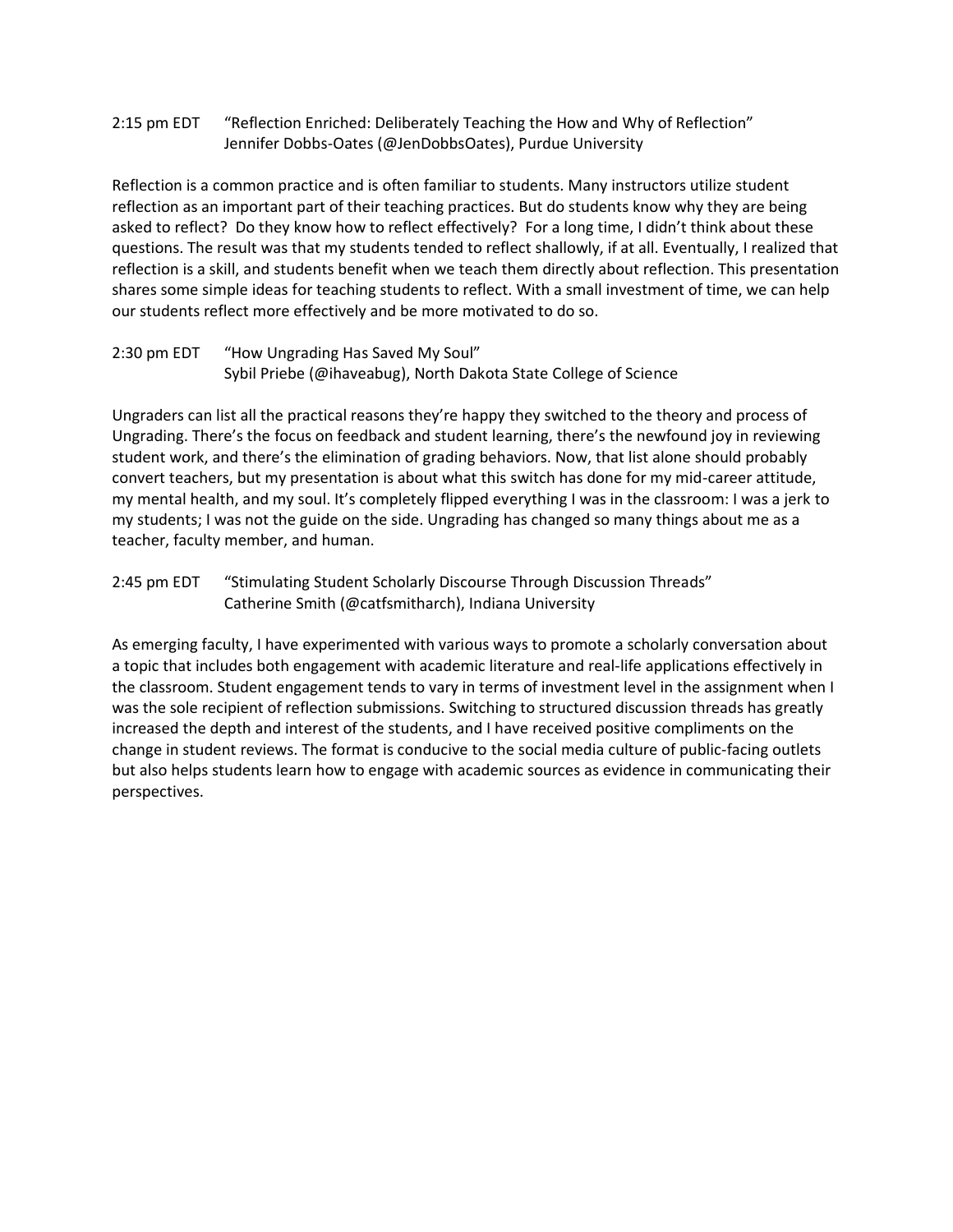2:15 pm EDT "Reflection Enriched: Deliberately Teaching the How and Why of Reflection" Jennifer Dobbs-Oates (@JenDobbsOates), Purdue University

Reflection is a common practice and is often familiar to students. Many instructors utilize student reflection as an important part of their teaching practices. But do students know why they are being asked to reflect? Do they know how to reflect effectively? For a long time, I didn't think about these questions. The result was that my students tended to reflect shallowly, if at all. Eventually, I realized that reflection is a skill, and students benefit when we teach them directly about reflection. This presentation shares some simple ideas for teaching students to reflect. With a small investment of time, we can help our students reflect more effectively and be more motivated to do so.

## 2:30 pm EDT "How Ungrading Has Saved My Soul"

Sybil Priebe (@ihaveabug), North Dakota State College of Science

Ungraders can list all the practical reasons they're happy they switched to the theory and process of Ungrading. There's the focus on feedback and student learning, there's the newfound joy in reviewing student work, and there's the elimination of grading behaviors. Now, that list alone should probably convert teachers, but my presentation is about what this switch has done for my mid-career attitude, my mental health, and my soul. It's completely flipped everything I was in the classroom: I was a jerk to my students; I was not the guide on the side. Ungrading has changed so many things about me as a teacher, faculty member, and human.

## 2:45 pm EDT "Stimulating Student Scholarly Discourse Through Discussion Threads" Catherine Smith (@catfsmitharch), Indiana University

As emerging faculty, I have experimented with various ways to promote a scholarly conversation about a topic that includes both engagement with academic literature and real-life applications effectively in the classroom. Student engagement tends to vary in terms of investment level in the assignment when I was the sole recipient of reflection submissions. Switching to structured discussion threads has greatly increased the depth and interest of the students, and I have received positive compliments on the change in student reviews. The format is conducive to the social media culture of public-facing outlets but also helps students learn how to engage with academic sources as evidence in communicating their perspectives.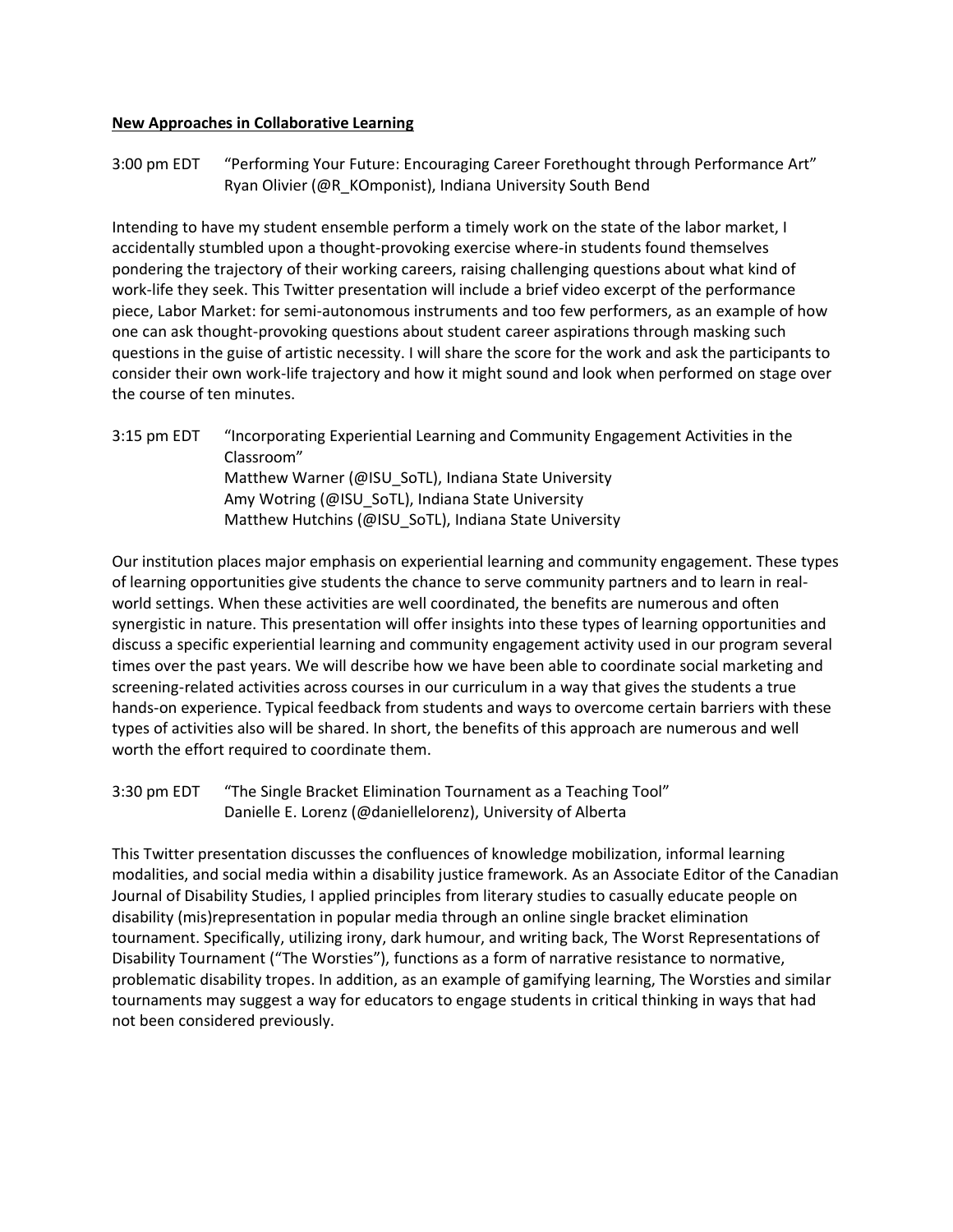#### **New Approaches in Collaborative Learning**

3:00 pm EDT "Performing Your Future: Encouraging Career Forethought through Performance Art" Ryan Olivier (@R\_KOmponist), Indiana University South Bend

Intending to have my student ensemble perform a timely work on the state of the labor market, I accidentally stumbled upon a thought-provoking exercise where-in students found themselves pondering the trajectory of their working careers, raising challenging questions about what kind of work-life they seek. This Twitter presentation will include a brief video excerpt of the performance piece, Labor Market: for semi-autonomous instruments and too few performers, as an example of how one can ask thought-provoking questions about student career aspirations through masking such questions in the guise of artistic necessity. I will share the score for the work and ask the participants to consider their own work-life trajectory and how it might sound and look when performed on stage over the course of ten minutes.

3:15 pm EDT "Incorporating Experiential Learning and Community Engagement Activities in the Classroom" Matthew Warner (@ISU\_SoTL), Indiana State University Amy Wotring (@ISU\_SoTL), Indiana State University Matthew Hutchins (@ISU\_SoTL), Indiana State University

Our institution places major emphasis on experiential learning and community engagement. These types of learning opportunities give students the chance to serve community partners and to learn in realworld settings. When these activities are well coordinated, the benefits are numerous and often synergistic in nature. This presentation will offer insights into these types of learning opportunities and discuss a specific experiential learning and community engagement activity used in our program several times over the past years. We will describe how we have been able to coordinate social marketing and screening-related activities across courses in our curriculum in a way that gives the students a true hands-on experience. Typical feedback from students and ways to overcome certain barriers with these types of activities also will be shared. In short, the benefits of this approach are numerous and well worth the effort required to coordinate them.

3:30 pm EDT "The Single Bracket Elimination Tournament as a Teaching Tool" Danielle E. Lorenz (@daniellelorenz), University of Alberta

This Twitter presentation discusses the confluences of knowledge mobilization, informal learning modalities, and social media within a disability justice framework. As an Associate Editor of the Canadian Journal of Disability Studies, I applied principles from literary studies to casually educate people on disability (mis)representation in popular media through an online single bracket elimination tournament. Specifically, utilizing irony, dark humour, and writing back, The Worst Representations of Disability Tournament ("The Worsties"), functions as a form of narrative resistance to normative, problematic disability tropes. In addition, as an example of gamifying learning, The Worsties and similar tournaments may suggest a way for educators to engage students in critical thinking in ways that had not been considered previously.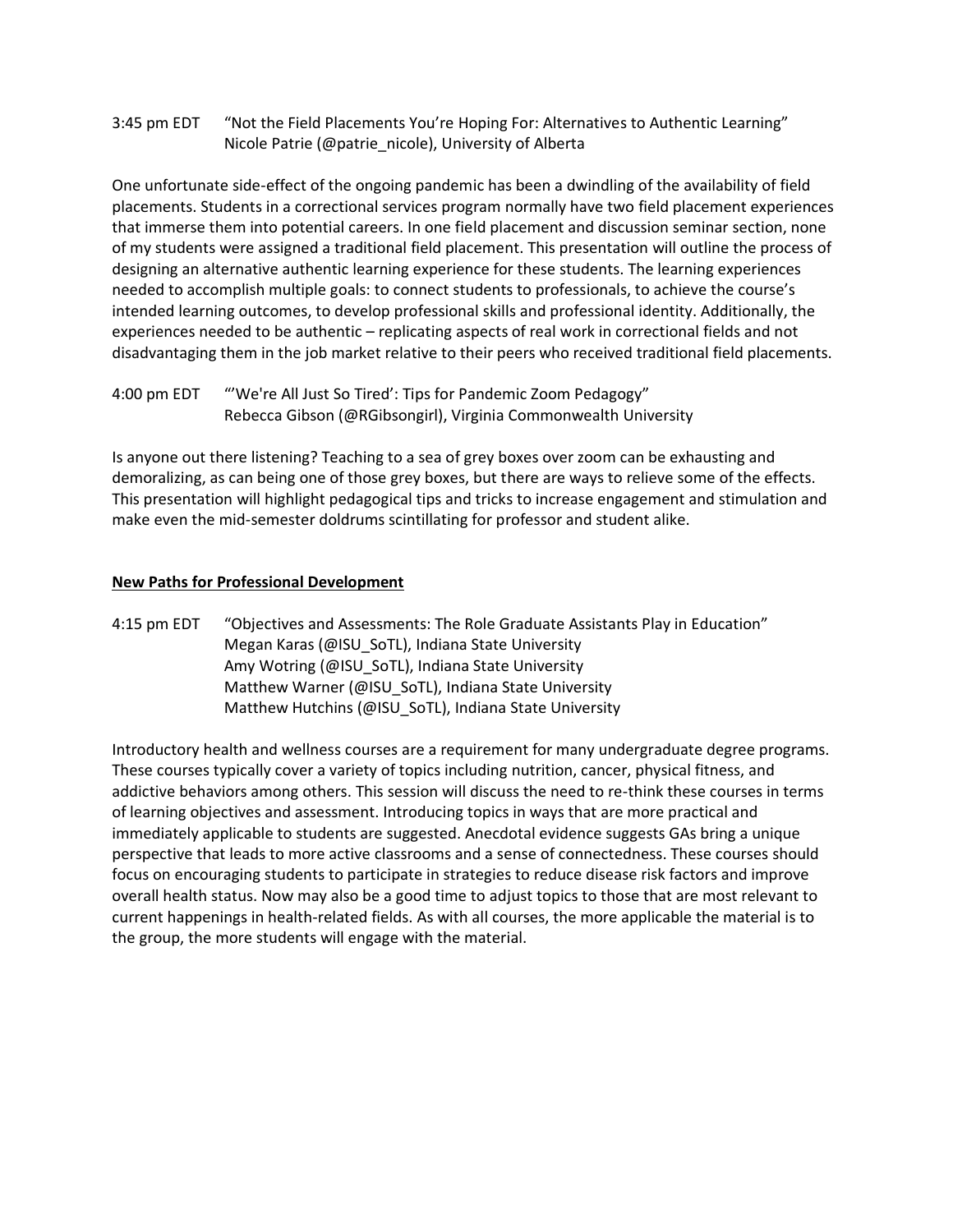3:45 pm EDT "Not the Field Placements You're Hoping For: Alternatives to Authentic Learning" Nicole Patrie (@patrie\_nicole), University of Alberta

One unfortunate side-effect of the ongoing pandemic has been a dwindling of the availability of field placements. Students in a correctional services program normally have two field placement experiences that immerse them into potential careers. In one field placement and discussion seminar section, none of my students were assigned a traditional field placement. This presentation will outline the process of designing an alternative authentic learning experience for these students. The learning experiences needed to accomplish multiple goals: to connect students to professionals, to achieve the course's intended learning outcomes, to develop professional skills and professional identity. Additionally, the experiences needed to be authentic – replicating aspects of real work in correctional fields and not disadvantaging them in the job market relative to their peers who received traditional field placements.

4:00 pm EDT "'We're All Just So Tired': Tips for Pandemic Zoom Pedagogy" Rebecca Gibson (@RGibsongirl), Virginia Commonwealth University

Is anyone out there listening? Teaching to a sea of grey boxes over zoom can be exhausting and demoralizing, as can being one of those grey boxes, but there are ways to relieve some of the effects. This presentation will highlight pedagogical tips and tricks to increase engagement and stimulation and make even the mid-semester doldrums scintillating for professor and student alike.

### **New Paths for Professional Development**

4:15 pm EDT "Objectives and Assessments: The Role Graduate Assistants Play in Education" Megan Karas (@ISU\_SoTL), Indiana State University Amy Wotring (@ISU\_SoTL), Indiana State University Matthew Warner (@ISU\_SoTL), Indiana State University Matthew Hutchins (@ISU\_SoTL), Indiana State University

Introductory health and wellness courses are a requirement for many undergraduate degree programs. These courses typically cover a variety of topics including nutrition, cancer, physical fitness, and addictive behaviors among others. This session will discuss the need to re-think these courses in terms of learning objectives and assessment. Introducing topics in ways that are more practical and immediately applicable to students are suggested. Anecdotal evidence suggests GAs bring a unique perspective that leads to more active classrooms and a sense of connectedness. These courses should focus on encouraging students to participate in strategies to reduce disease risk factors and improve overall health status. Now may also be a good time to adjust topics to those that are most relevant to current happenings in health-related fields. As with all courses, the more applicable the material is to the group, the more students will engage with the material.